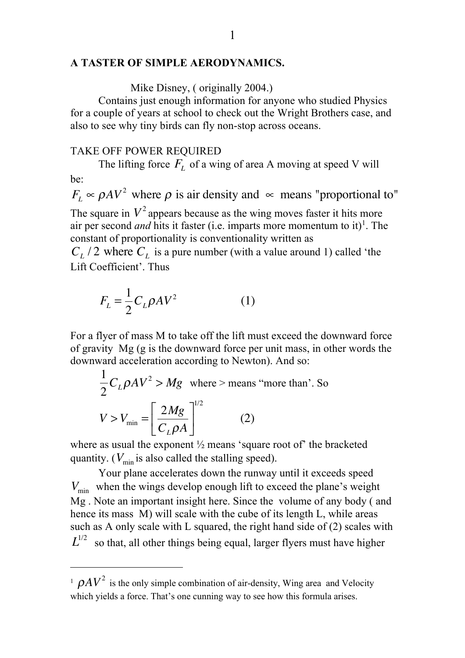## **A TASTER OF SIMPLE AERODYNAMICS.**

Mike Disney, ( originally 2004.)

Contains just enough information for anyone who studied Physics for a couple of years at school to check out the Wright Brothers case, and also to see why tiny birds can fly non-stop across oceans.

## TAKE OFF POWER REQUIRED

The lifting force  $F<sub>L</sub>$  of a wing of area A moving at speed V will be:  $F_L \propto \rho A V^2$  where  $\rho$  is air density and  $\propto$  means "proportional to"

The square in  $V^2$  appears because as the wing moves faster it hits more air per second *and* hits it faster (i.e. imparts more momentum to it)<sup>1</sup>. The constant of proportionality is conventionality written as

 $C_L$  / 2 where  $C_L$  is a pure number (with a value around 1) called 'the Lift Coefficient'. Thus

$$
F_L = \frac{1}{2} C_L \rho A V^2 \tag{1}
$$

For a flyer of mass M to take off the lift must exceed the downward force of gravity Mg (g is the downward force per unit mass, in other words the downward acceleration according to Newton). And so:

$$
\frac{1}{2}C_L\rho AV^2 > Mg \text{ where } > \text{means "more than". So}
$$

$$
V > V_{\text{min}} = \left[\frac{2Mg}{C_L\rho A}\right]^{1/2} \qquad (2)
$$

where as usual the exponent  $\frac{1}{2}$  means 'square root of' the bracketed quantity. ( $V_{\text{min}}$  is also called the stalling speed).

Your plane accelerates down the runway until it exceeds speed  $V_{\text{min}}$  when the wings develop enough lift to exceed the plane's weight Mg . Note an important insight here. Since the volume of any body ( and hence its mass M) will scale with the cube of its length L, while areas such as A only scale with L squared, the right hand side of (2) scales with so that, all other things being equal, larger flyers must have higher  $L^{1/2}$ 

l

<sup>&</sup>lt;sup>1</sup>  $\rho A V^2$  is the only simple combination of air-density, Wing area and Velocity which yields a force. That's one cunning way to see how this formula arises.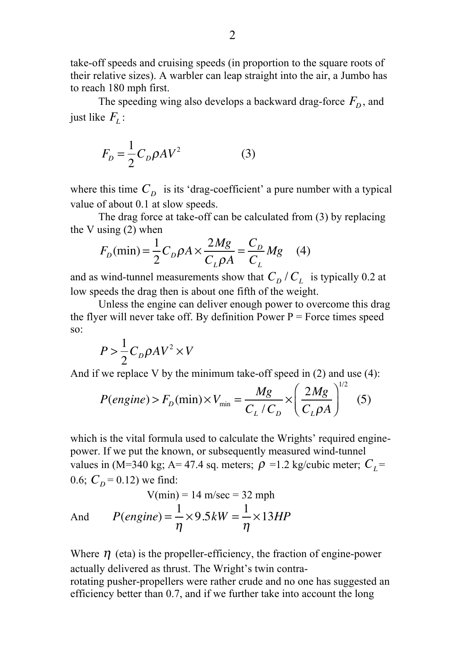take-off speeds and cruising speeds (in proportion to the square roots of their relative sizes). A warbler can leap straight into the air, a Jumbo has to reach 180 mph first.

The speeding wing also develops a backward drag-force  $F_D$ , and just like  $F_{L}$ :

$$
F_D = \frac{1}{2} C_D \rho A V^2 \tag{3}
$$

where this time  $C_D$  is its 'drag-coefficient' a pure number with a typical value of about 0.1 at slow speeds.

The drag force at take-off can be calculated from (3) by replacing the V using (2) when

$$
F_D(\text{min}) = \frac{1}{2}C_D \rho A \times \frac{2Mg}{C_L \rho A} = \frac{C_D}{C_L} Mg \quad (4)
$$

and as wind-tunnel measurements show that  $C_D / C_L$  is typically 0.2 at low speeds the drag then is about one fifth of the weight.

Unless the engine can deliver enough power to overcome this drag the flyer will never take off. By definition Power  $P =$  Force times speed so:

$$
P > \frac{1}{2}C_D \rho A V^2 \times V
$$

And if we replace V by the minimum take-off speed in (2) and use (4):

$$
P(engine) > F_D(\min) \times V_{\min} = \frac{Mg}{C_L/C_D} \times \left(\frac{2Mg}{C_L\rho A}\right)^{1/2} \quad (5)
$$

which is the vital formula used to calculate the Wrights' required enginepower. If we put the known, or subsequently measured wind-tunnel values in (M=340 kg; A= 47.4 sq. meters;  $\rho$  =1.2 kg/cubic meter;  $C_L$ = 0.6;  $C_D = 0.12$ ) we find:  $V(\rightarrow 14$  m/sec  $\rightarrow 32$  m

$$
V(mn) = 14 \text{ m/sec} = 32 \text{ mph}
$$
  
And 
$$
P(engine) = \frac{1}{\eta} \times 9.5 kW = \frac{1}{\eta} \times 13 HP
$$

Where  $\eta$  (eta) is the propeller-efficiency, the fraction of engine-power actually delivered as thrust. The Wright's twin contra-

rotating pusher-propellers were rather crude and no one has suggested an efficiency better than 0.7, and if we further take into account the long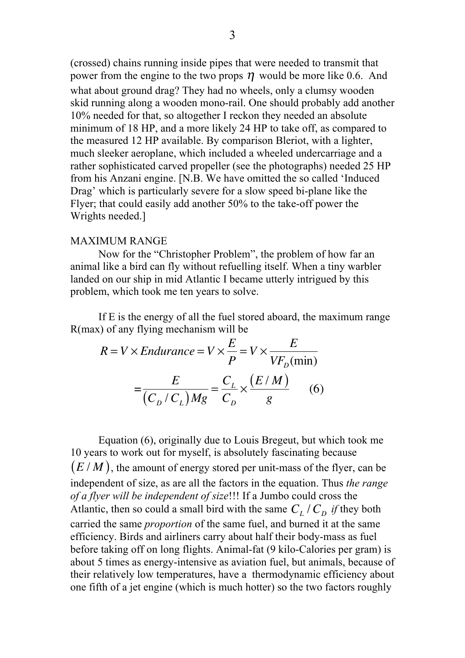(crossed) chains running inside pipes that were needed to transmit that power from the engine to the two props  $\eta$  would be more like 0.6. And what about ground drag? They had no wheels, only a clumsy wooden skid running along a wooden mono-rail. One should probably add another 10% needed for that, so altogether I reckon they needed an absolute minimum of 18 HP, and a more likely 24 HP to take off, as compared to the measured 12 HP available. By comparison Bleriot, with a lighter, much sleeker aeroplane, which included a wheeled undercarriage and a rather sophisticated carved propeller (see the photographs) needed 25 HP from his Anzani engine. [N.B. We have omitted the so called 'Induced Drag' which is particularly severe for a slow speed bi-plane like the Flyer; that could easily add another 50% to the take-off power the Wrights needed.]

## MAXIMUM RANGE

Now for the "Christopher Problem", the problem of how far an animal like a bird can fly without refuelling itself. When a tiny warbler landed on our ship in mid Atlantic I became utterly intrigued by this problem, which took me ten years to solve.

If E is the energy of all the fuel stored aboard, the maximum range R(max) of any flying mechanism will be

$$
R = V \times Endurance = V \times \frac{E}{P} = V \times \frac{E}{VF_D(min)}
$$

$$
= \frac{E}{(C_D/C_L)Mg} = \frac{C_L}{C_D} \times \frac{(E/M)}{g}
$$
(6)

Equation (6), originally due to Louis Bregeut, but which took me 10 years to work out for myself, is absolutely fascinating because  $(E/M)$ , the amount of energy stored per unit-mass of the flyer, can be independent of size, as are all the factors in the equation. Thus *the range of a flyer will be independent of size*!!! If a Jumbo could cross the Atlantic, then so could a small bird with the same  $C_L$  / $C_D$  *if* they both carried the same *proportion* of the same fuel, and burned it at the same efficiency. Birds and airliners carry about half their body-mass as fuel before taking off on long flights. Animal-fat (9 kilo-Calories per gram) is about 5 times as energy-intensive as aviation fuel, but animals, because of their relatively low temperatures, have a thermodynamic efficiency about one fifth of a jet engine (which is much hotter) so the two factors roughly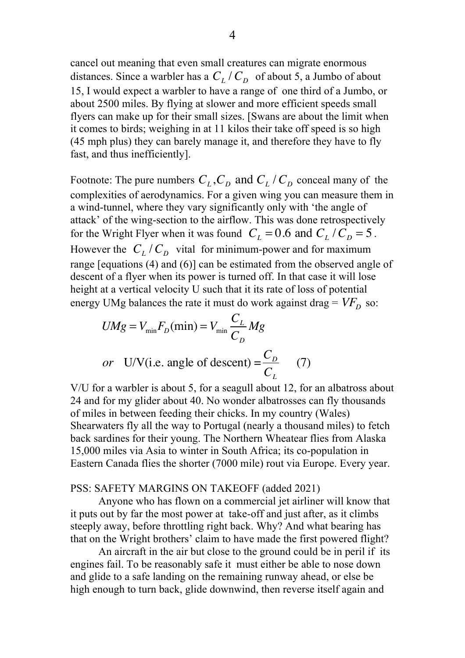cancel out meaning that even small creatures can migrate enormous distances. Since a warbler has a  $C_L / C_D$  of about 5, a Jumbo of about 15, I would expect a warbler to have a range of one third of a Jumbo, or about 2500 miles. By flying at slower and more efficient speeds small flyers can make up for their small sizes. [Swans are about the limit when it comes to birds; weighing in at 11 kilos their take off speed is so high (45 mph plus) they can barely manage it, and therefore they have to fly fast, and thus inefficiently].

Footnote: The pure numbers  $C_L$ ,  $C_D$  and  $C_L$  /  $C_D$  conceal many of the complexities of aerodynamics. For a given wing you can measure them in a wind-tunnel, where they vary significantly only with 'the angle of attack' of the wing-section to the airflow. This was done retrospectively for the Wright Flyer when it was found  $C_L = 0.6$  and  $C_L / C_D = 5$ . However the  $C_L / C_D$  vital for minimum-power and for maximum range [equations (4) and (6)] can be estimated from the observed angle of descent of a flyer when its power is turned off. In that case it will lose height at a vertical velocity U such that it its rate of loss of potential energy UMg balances the rate it must do work against drag =  $V\!F_{D}^{\phantom{\dag}}$  so:

$$
UMg = V_{\min}F_D(\min) = V_{\min} \frac{C_L}{C_D} Mg
$$
  
or UV(i.e. angle of descent) =  $\frac{C_D}{C_L}$  (7)

V/U for a warbler is about 5, for a seagull about 12, for an albatross about 24 and for my glider about 40. No wonder albatrosses can fly thousands of miles in between feeding their chicks. In my country (Wales) Shearwaters fly all the way to Portugal (nearly a thousand miles) to fetch back sardines for their young. The Northern Wheatear flies from Alaska 15,000 miles via Asia to winter in South Africa; its co-population in Eastern Canada flies the shorter (7000 mile) rout via Europe. Every year.

## PSS: SAFETY MARGINS ON TAKEOFF (added 2021)

Anyone who has flown on a commercial jet airliner will know that it puts out by far the most power at take-off and just after, as it climbs steeply away, before throttling right back. Why? And what bearing has that on the Wright brothers' claim to have made the first powered flight?

An aircraft in the air but close to the ground could be in peril if its engines fail. To be reasonably safe it must either be able to nose down and glide to a safe landing on the remaining runway ahead, or else be high enough to turn back, glide downwind, then reverse itself again and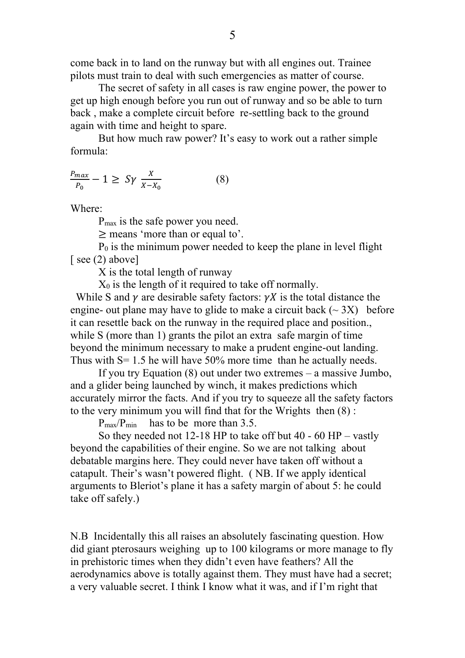come back in to land on the runway but with all engines out. Trainee pilots must train to deal with such emergencies as matter of course.

The secret of safety in all cases is raw engine power, the power to get up high enough before you run out of runway and so be able to turn back , make a complete circuit before re-settling back to the ground again with time and height to spare.

But how much raw power? It's easy to work out a rather simple formula:

$$
\frac{P_{max}}{P_0} - 1 \ge S\gamma \frac{X}{X - X_0} \tag{8}
$$

Where:

Pmax is the safe power you need.

≥ means 'more than or equal to'.

P0 is the minimum power needed to keep the plane in level flight [ see  $(2)$  above]

X is the total length of runway

 $X_0$  is the length of it required to take off normally.

While S and  $\gamma$  are desirable safety factors:  $\gamma X$  is the total distance the engine- out plane may have to glide to make a circuit back  $(\sim 3X)$  before it can resettle back on the runway in the required place and position., while S (more than 1) grants the pilot an extra safe margin of time beyond the minimum necessary to make a prudent engine-out landing. Thus with  $S = 1.5$  he will have 50% more time than he actually needs.

If you try Equation (8) out under two extremes – a massive Jumbo, and a glider being launched by winch, it makes predictions which accurately mirror the facts. And if you try to squeeze all the safety factors to the very minimum you will find that for the Wrights then (8) :

 $P_{\text{max}}/P_{\text{min}}$  has to be more than 3.5.

So they needed not 12-18 HP to take off but 40 - 60 HP – vastly beyond the capabilities of their engine. So we are not talking about debatable margins here. They could never have taken off without a catapult. Their's wasn't powered flight. ( NB. If we apply identical arguments to Bleriot's plane it has a safety margin of about 5: he could take off safely.)

N.B Incidentally this all raises an absolutely fascinating question. How did giant pterosaurs weighing up to 100 kilograms or more manage to fly in prehistoric times when they didn't even have feathers? All the aerodynamics above is totally against them. They must have had a secret; a very valuable secret. I think I know what it was, and if I'm right that